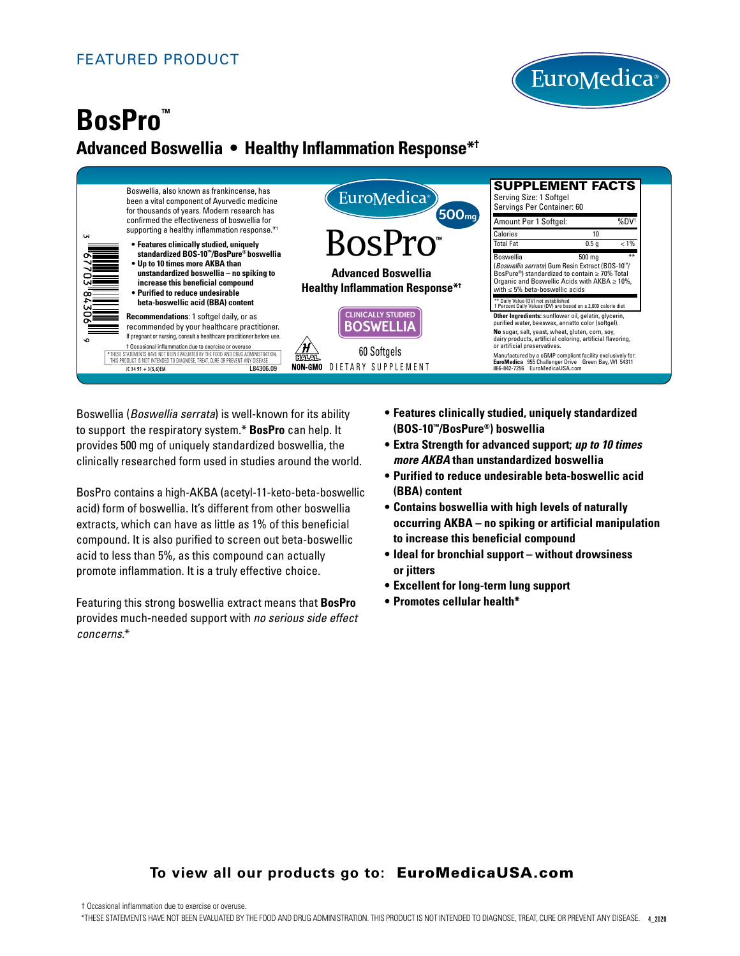

# **BosPro™ Advanced Boswellia • Healthy Inflammation Response\*†**



Boswellia (*Boswellia serrata*) is well-known for its ability to support the respiratory system.\* **BosPro** can help. It provides 500 mg of uniquely standardized boswellia, the clinically researched form used in studies around the world.

BosPro contains a high-AKBA (acetyl-11-keto-beta-boswellic acid) form of boswellia. It's different from other boswellia extracts, which can have as little as 1% of this beneficial compound. It is also purified to screen out beta-boswellic acid to less than 5%, as this compound can actually promote inflammation. It is a truly effective choice.

Featuring this strong boswellia extract means that **BosPro** provides much-needed support with *no serious side effect concerns*.\*

- **Features clinically studied, uniquely standardized (BOS-10™/BosPure®) boswellia**
- **Extra Strength for advanced support;** *up to 10 times more AKBA* **than unstandardized boswellia**
- **Purified to reduce undesirable beta-boswellic acid (BBA) content**
- **Contains boswellia with high levels of naturally occurring AKBA – no spiking or artificial manipulation to increase this beneficial compound**
- **Ideal for bronchial support without drowsiness or jitters**
- **Excellent for long-term lung support**
- **Promotes cellular health\***

# **To view all our products go to:** EuroMedicaUSA.com

† Occasional inflammation due to exercise or overuse.

\*THESE STATEMENTS HAVE NOT BEEN EVALUATED BY THE FOOD AND DRUG ADMINISTRATION. THIS PRODUCT IS NOT INTENDED TO DIAGNOSE, TREAT, CURE OR PREVENT ANY DISEASE. 4\_2020